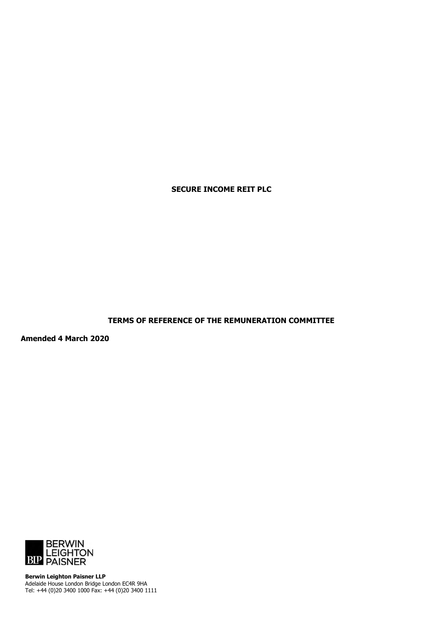**SECURE INCOME REIT PLC**

**TERMS OF REFERENCE OF THE REMUNERATION COMMITTEE**

**Amended 4 March 2020**



**Berwin Leighton Paisner LLP** Adelaide House London Bridge London EC4R 9HA Tel: +44 (0)20 3400 1000 Fax: +44 (0)20 3400 1111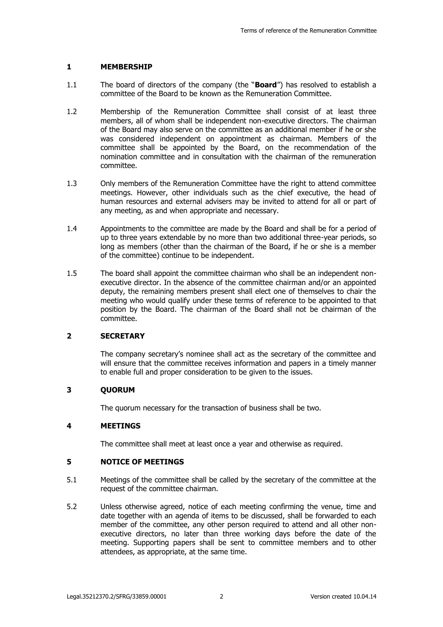# **1 MEMBERSHIP**

- 1.1 The board of directors of the company (the "**Board**") has resolved to establish a committee of the Board to be known as the Remuneration Committee.
- 1.2 Membership of the Remuneration Committee shall consist of at least three members, all of whom shall be independent non-executive directors. The chairman of the Board may also serve on the committee as an additional member if he or she was considered independent on appointment as chairman. Members of the committee shall be appointed by the Board, on the recommendation of the nomination committee and in consultation with the chairman of the remuneration committee.
- 1.3 Only members of the Remuneration Committee have the right to attend committee meetings. However, other individuals such as the chief executive, the head of human resources and external advisers may be invited to attend for all or part of any meeting, as and when appropriate and necessary.
- 1.4 Appointments to the committee are made by the Board and shall be for a period of up to three years extendable by no more than two additional three-year periods, so long as members (other than the chairman of the Board, if he or she is a member of the committee) continue to be independent.
- 1.5 The board shall appoint the committee chairman who shall be an independent nonexecutive director. In the absence of the committee chairman and/or an appointed deputy, the remaining members present shall elect one of themselves to chair the meeting who would qualify under these terms of reference to be appointed to that position by the Board. The chairman of the Board shall not be chairman of the committee.

### **2 SECRETARY**

The company secretary's nominee shall act as the secretary of the committee and will ensure that the committee receives information and papers in a timely manner to enable full and proper consideration to be given to the issues.

# **3 QUORUM**

The quorum necessary for the transaction of business shall be two.

#### **4 MEETINGS**

The committee shall meet at least once a year and otherwise as required.

### **5 NOTICE OF MEETINGS**

- 5.1 Meetings of the committee shall be called by the secretary of the committee at the request of the committee chairman.
- 5.2 Unless otherwise agreed, notice of each meeting confirming the venue, time and date together with an agenda of items to be discussed, shall be forwarded to each member of the committee, any other person required to attend and all other nonexecutive directors, no later than three working days before the date of the meeting. Supporting papers shall be sent to committee members and to other attendees, as appropriate, at the same time.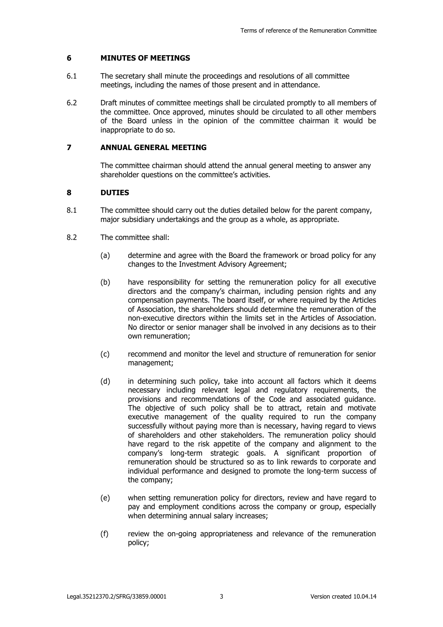### **6 MINUTES OF MEETINGS**

- 6.1 The secretary shall minute the proceedings and resolutions of all committee meetings, including the names of those present and in attendance.
- 6.2 Draft minutes of committee meetings shall be circulated promptly to all members of the committee. Once approved, minutes should be circulated to all other members of the Board unless in the opinion of the committee chairman it would be inappropriate to do so.

### **7 ANNUAL GENERAL MEETING**

The committee chairman should attend the annual general meeting to answer any shareholder questions on the committee's activities.

#### **8 DUTIES**

- 8.1 The committee should carry out the duties detailed below for the parent company, major subsidiary undertakings and the group as a whole, as appropriate.
- 8.2 The committee shall:
	- (a) determine and agree with the Board the framework or broad policy for any changes to the Investment Advisory Agreement;
	- (b) have responsibility for setting the remuneration policy for all executive directors and the company's chairman, including pension rights and any compensation payments. The board itself, or where required by the Articles of Association, the shareholders should determine the remuneration of the non-executive directors within the limits set in the Articles of Association. No director or senior manager shall be involved in any decisions as to their own remuneration;
	- (c) recommend and monitor the level and structure of remuneration for senior management;
	- (d) in determining such policy, take into account all factors which it deems necessary including relevant legal and regulatory requirements, the provisions and recommendations of the Code and associated guidance. The objective of such policy shall be to attract, retain and motivate executive management of the quality required to run the company successfully without paying more than is necessary, having regard to views of shareholders and other stakeholders. The remuneration policy should have regard to the risk appetite of the company and alignment to the company's long-term strategic goals. A significant proportion of remuneration should be structured so as to link rewards to corporate and individual performance and designed to promote the long-term success of the company;
	- (e) when setting remuneration policy for directors, review and have regard to pay and employment conditions across the company or group, especially when determining annual salary increases;
	- (f) review the on-going appropriateness and relevance of the remuneration policy;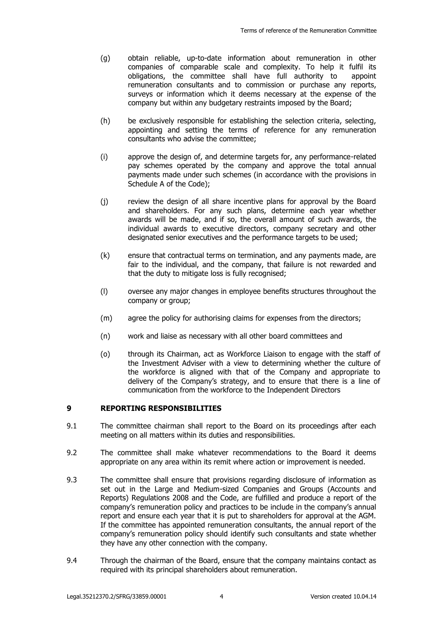- (g) obtain reliable, up-to-date information about remuneration in other companies of comparable scale and complexity. To help it fulfil its obligations, the committee shall have full authority to appoint remuneration consultants and to commission or purchase any reports, surveys or information which it deems necessary at the expense of the company but within any budgetary restraints imposed by the Board;
- (h) be exclusively responsible for establishing the selection criteria, selecting, appointing and setting the terms of reference for any remuneration consultants who advise the committee;
- (i) approve the design of, and determine targets for, any performance-related pay schemes operated by the company and approve the total annual payments made under such schemes (in accordance with the provisions in Schedule A of the Code);
- (j) review the design of all share incentive plans for approval by the Board and shareholders. For any such plans, determine each year whether awards will be made, and if so, the overall amount of such awards, the individual awards to executive directors, company secretary and other designated senior executives and the performance targets to be used;
- (k) ensure that contractual terms on termination, and any payments made, are fair to the individual, and the company, that failure is not rewarded and that the duty to mitigate loss is fully recognised;
- (l) oversee any major changes in employee benefits structures throughout the company or group;
- (m) agree the policy for authorising claims for expenses from the directors;
- (n) work and liaise as necessary with all other board committees and
- (o) through its Chairman, act as Workforce Liaison to engage with the staff of the Investment Adviser with a view to determining whether the culture of the workforce is aligned with that of the Company and appropriate to delivery of the Company's strategy, and to ensure that there is a line of communication from the workforce to the Independent Directors

### **9 REPORTING RESPONSIBILITIES**

- 9.1 The committee chairman shall report to the Board on its proceedings after each meeting on all matters within its duties and responsibilities.
- 9.2 The committee shall make whatever recommendations to the Board it deems appropriate on any area within its remit where action or improvement is needed.
- 9.3 The committee shall ensure that provisions regarding disclosure of information as set out in the Large and Medium-sized Companies and Groups (Accounts and Reports) Regulations 2008 and the Code, are fulfilled and produce a report of the company's remuneration policy and practices to be include in the company's annual report and ensure each year that it is put to shareholders for approval at the AGM. If the committee has appointed remuneration consultants, the annual report of the company's remuneration policy should identify such consultants and state whether they have any other connection with the company.
- 9.4 Through the chairman of the Board, ensure that the company maintains contact as required with its principal shareholders about remuneration.